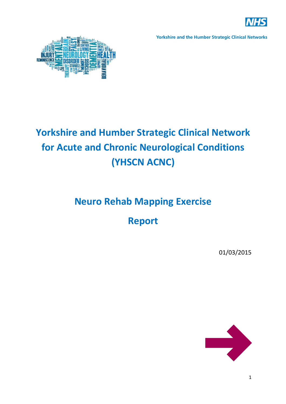



# **Yorkshire and Humber Strategic Clinical Network for Acute and Chronic Neurological Conditions (YHSCN ACNC)**

# **Neuro Rehab Mapping Exercise**

# **Report**

01/03/2015

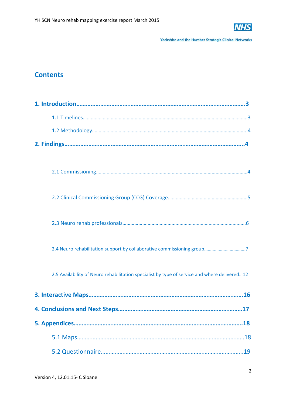

# **Contents**

| 2.4 Neuro rehabilitation support by collaborative commissioning group7                       |
|----------------------------------------------------------------------------------------------|
| 2.5 Availability of Neuro rehabilitation specialist by type of service and where delivered12 |
|                                                                                              |
|                                                                                              |
|                                                                                              |
| .18                                                                                          |
|                                                                                              |
| 19                                                                                           |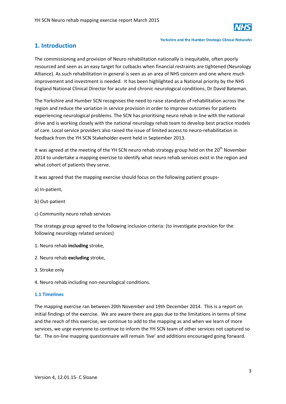

# **1. Introduction**

The commissioning and provision of Neuro rehabilitation nationally is inequitable, often poorly resourced and seen as an easy target for cutbacks when financial restraints are tightened (Neurology Alliance). As such rehabilitation in general is seen as an area of NHS concern and one where much improvement and investment is needed. It has been highlighted as a National priority by the NHS England National Clinical Director for acute and chronic neurological conditions, Dr David Bateman.

The Yorkshire and Humber SCN recognises the need to raise standards of rehabilitation across the region and reduce the variation in service provision in order to improve outcomes for patients experiencing neurological problems. The SCN has prioritising neuro rehab in line with the national drive and is working closely with the national neurology rehab team to develop best practice models of care. Local service providers also raised the issue of limited access to neuro‐rehabilitation in feedback from the YH SCN Stakeholder event held in September 2013.

It was agreed at the meeting of the YH SCN neuro rehab strategy group held on the 20<sup>th</sup> November 2014 to undertake a mapping exercise to identify what neuro rehab services exist in the region and what cohort of patients they serve.

It was agreed that the mapping exercise should focus on the following patient groups‐

- a) In‐patient,
- b) Out‐patient
- c) Community neuro rehab services

The strategy group agreed to the following inclusion criteria: (to investigate provision for the following neurology related services)

- 1. Neuro rehab **including** stroke,
- 2. Neuro rehab **excluding** stroke,
- 3. Stroke only
- 4. Neuro rehab including non‐neurological conditions.

# **1.1 Timelines**

The mapping exercise ran between 20th November and 19th December 2014. This is a report on initial findings of the exercise. We are aware there are gaps due to the limitations in terms of time and the reach of this exercise, we continue to add to the mapping as and when we learn of more services, we urge everyone to continue to inform the YH SCN team of other services not captured so far. The on-line mapping questionnaire will remain 'live' and additions encouraged going forward.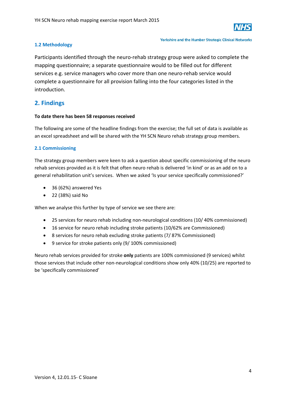

# **1.2 Methodology**

### **Yorkshire and the Humber Strategic Clinical Networks**

Participants identified through the neuro-rehab strategy group were asked to complete the mapping questionnaire; a separate questionnaire would to be filled out for different services e.g. service managers who cover more than one neuro-rehab service would complete a questionnaire for all provision falling into the four categories listed in the introduction.

# **2. Findings**

# **To date there has been 58 responses received**

The following are some of the headline findings from the exercise; the full set of data is available as an excel spreadsheet and will be shared with the YH SCN Neuro rehab strategy group members.

# **2.1 Commissioning**

The strategy group members were keen to ask a question about specific commissioning of the neuro rehab services provided as it is felt that often neuro rehab is delivered 'in kind' or as an add on to a general rehabilitation unit's services. When we asked 'Is your service specifically commissioned?'

- 36 (62%) answered Yes
- 22 (38%) said No

When we analyse this further by type of service we see there are:

- 25 services for neuro rehab including non-neurological conditions (10/40% commissioned)
- 16 service for neuro rehab including stroke patients (10/62% are Commissioned)
- 8 services for neuro rehab excluding stroke patients (7/ 87% Commissioned)
- 9 service for stroke patients only (9/ 100% commissioned)

Neuro rehab services provided for stroke **only** patients are 100% commissioned (9 services) whilst those services that include other non‐neurological conditions show only 40% (10/25) are reported to be 'specifically commissioned'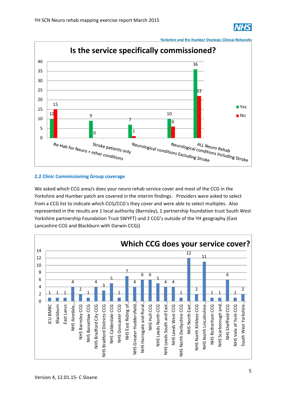



# **2.2 Clinic Commissioning Group coverage**

We asked which CCG area/s does your neuro rehab service cover and most of the CCG in the Yorkshire and Humber patch are covered in the interim findings. Providers were asked to select from a CCG list to indicate which CCG/CCG's they cover and were able to select multiples. Also represented in the results are 1 local authority (Barnsley), 1 partnership foundation trust South West Yorkshire partnership Foundation Trust SWYFT) and 2 CCG's outside of the YH geography (East Lancashire CCG and Blackburn with Darwin CCG))

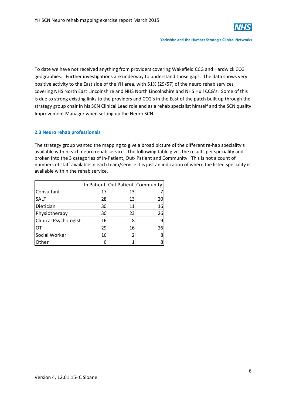

To date we have not received anything from providers covering Wakefield CCG and Hardwick CCG geographies. Further investigations are underway to understand those gaps. The data shows very positive activity to the East side of the YH area, with 51% (29/57) of the neuro rehab services covering NHS North East Lincolnshire and NHS North Lincolnshire and NHS Hull CCG's. Some of this is due to strong existing links to the providers and CCG's in the East of the patch built up through the strategy group chair in his SCN Clinical Lead role and as a rehab specialist himself and the SCN quality Improvement Manager when setting up the Neuro SCN.

# **2.3 Neuro rehab professionals**

The strategy group wanted the mapping to give a broad picture of the different re-hab speciality's available within each neuro rehab service. The following table gives the results per speciality and broken into the 3 categories of In‐Patient, Out‐ Patient and Community. This is not a count of numbers of staff available in each team/service it is just an indication of where the listed speciality is available within the rehab service.

|                       |    | In Patient Out Patient Community |    |
|-----------------------|----|----------------------------------|----|
| Consultant            | 17 | 13                               |    |
| <b>SALT</b>           | 28 | 13                               | 20 |
| Dietician             | 30 | 11                               | 16 |
| Physiotherapy         | 30 | 23                               | 26 |
| Clinical Psychologist | 16 | 8                                |    |
| от                    | 29 | 16                               | 26 |
| Social Worker         | 16 | 2                                |    |
| Other                 | 6  |                                  |    |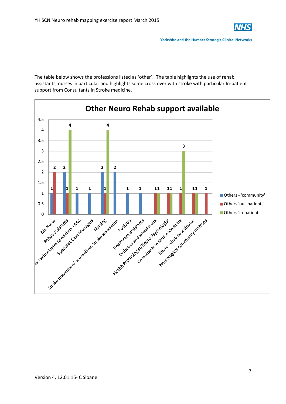

The table below shows the professions listed as 'other'. The table highlights the use of rehab assistants, nurses in particular and highlights some cross over with stroke with particular In‐patient support from Consultants in Stroke medicine.

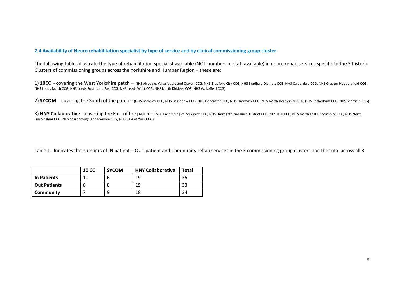# 2.4 Availability of Neuro rehabilitation specialist by type of service and by clinical commissioning group cluster

The following tables illustrate the type of rehabilitation specialist available (NOT numbers of staff available) in neuro rehab services specific to the 3 historic Clusters of commissioning groups across the Yorkshire and Humber Region – these are:

1) 10CC - covering the West Yorkshire patch – (NHS Airedale, Wharfedale and Craven CCG, NHS Bradford City CCG, NHS Bradford Districts CCG, NHS Calderdale CCG, NHS Greater Huddersfield CCG, NHS Leeds North CCG, NHS Leeds South and East CCG, NHS Leeds West CCG, NHS North Kirklees CCG, NHS Wakefield CCG)

2) **SYCOM** - covering the South of the patch – (NHS Barnsley CCG, NHS Bassetlaw CCG, NHS Doncaster CCG, NHS Hardwick CCG, NHS North Derbyshire CCG, NHS Rotherham CCG, NHS Sheffield CCG)

3) HNY Collaborative - covering the East of the patch – (NHS East Riding of Yorkshire CCG, NHS Harrogate and Rural District CCG, NHS Hull CCG, NHS North East Lincolnshire CCG, NHS North Lincolnshire CCG, NHS Scarborough and Ryedale CCG, NHS Vale of York CCG)

Table 1. Indicates the numbers of IN patient – OUT patient and Community rehab services in the 3 commissioning group clusters and the total across all 3

|                     | <b>10 CC</b> | <b>SYCOM</b> | <b>HNY Collaborative</b> | Total |
|---------------------|--------------|--------------|--------------------------|-------|
| In Patients         | 10           |              | 19                       | 35    |
| <b>Out Patients</b> |              |              | -19                      | 33    |
| Community           |              | Q            | 18                       | 34    |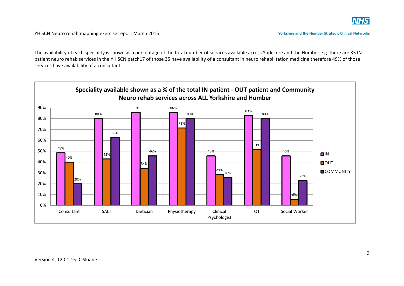

The availability of each speciality is shown as <sup>a</sup> percentage of the total number of services available across Yorkshire and the Humber e.g. there are 35 IN patient neuro rehab services in the YH SCN patch17 of those 35 have availability of <sup>a</sup> consultant in neuro rehabilitation medicine therefore 49% of those services have availability of <sup>a</sup> consultant.

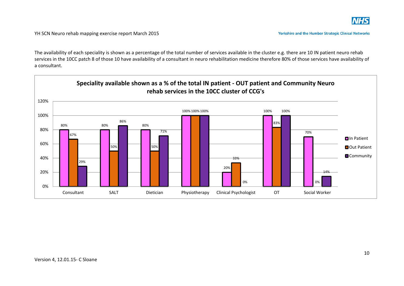

The availability of each speciality is shown as <sup>a</sup> percentage of the total number of services available in the cluster e.g. there are 10 IN patient neuro rehab services in the 10CC patch 8 of those 10 have availability of <sup>a</sup> consultant in neuro rehabilitation medicine therefore 80% of those services have availability of a consultant.

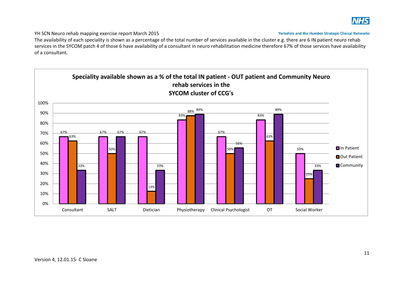

YH SCN Neuro rehab mapping exercise report March 2015

**Yorkshire and the Humber Strategic Clinical Networks** 

The availability of each speciality is shown as <sup>a</sup> percentage of the total number of services available in the cluster e.g. there are 6 IN patient neuro rehab services in the SYCOM patch 4 of those 6 have availability of <sup>a</sup> consultant in neuro rehabilitation medicine therefore 67% of those services have availability of a consultant.

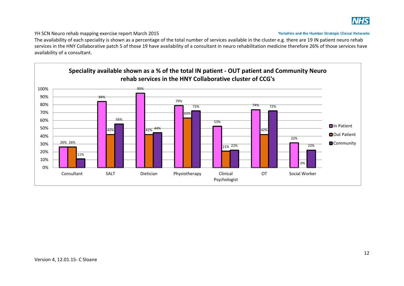

YH SCN Neuro rehab mapping exercise report March 2015

**Yorkshire and the Humber Strategic Clinical Networks** 

The availability of each speciality is shown as <sup>a</sup> percentage of the total number of services available in the cluster e.g. there are 19 IN patient neuro rehab services in the HNY Collaborative patch 5 of those 19 have availability of <sup>a</sup> consultant in neuro rehabilitation medicine therefore 26% of those services have availability of <sup>a</sup> consultant.

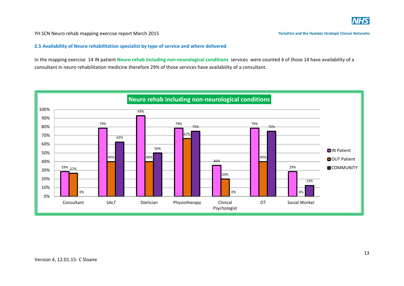

YH SCN Neuro rehab mapping exercise report March 2015

**2.5 Availability of Neuro rehabilitation specialist by type of service and where delivered**

In the mapping exercise 14 IN patient **Neuro rehab including non‐neurological conditions** services were counted 4 of those 14 have availability of <sup>a</sup> consultant in neuro rehabilitation medicine therefore 29% of those services have availability of <sup>a</sup> consultant.

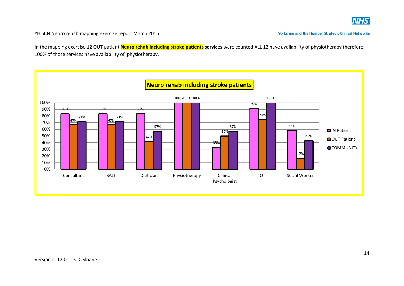

In the mapping exercise 12 OUT patient **Neuro rehab including stroke patients services** were counted ALL 12 have availability of physiotherapy therefore 100% of those services have availability of physiotherapy.

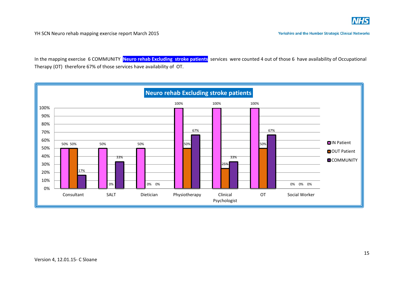

In the mapping exercise 6 COMMUNITY **Neuro rehab Excluding stroke patients** services were counted 4 out of those 6 have availability of Occupational Therapy (OT) therefore 67% of those services have availability of OT.

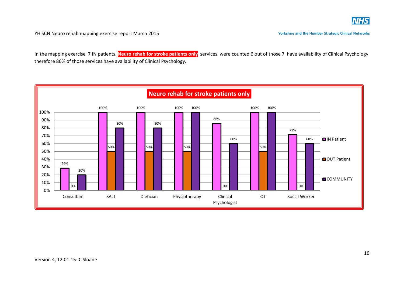

In the mapping exercise 7 IN patients **Neuro rehab for stroke patients only** services were counted 6 out of those 7 have availability of Clinical Psychology therefore 86% of those services have availability of Clinical Psychology.

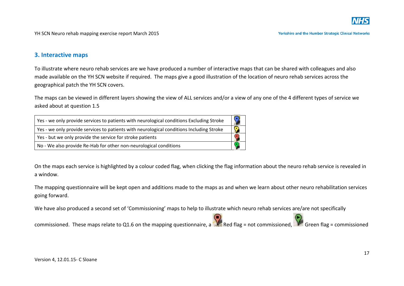

# **3. Interactive maps**

To illustrate where neuro rehab services are we have produced <sup>a</sup> number of interactive maps that can be shared with colleagues and also made available on the YH SCN website if required. The maps give <sup>a</sup> good illustration of the location of neuro rehab services across the geographical patch the YH SCN covers.

The maps can be viewed in different layers showing the view of ALL services and/or <sup>a</sup> view of any one of the 4 different types of service we asked about at question 1.5

| Yes - we only provide services to patients with neurological conditions Excluding Stroke |  |
|------------------------------------------------------------------------------------------|--|
| Yes - we only provide services to patients with neurological conditions Including Stroke |  |
| Yes - but we only provide the service for stroke patients                                |  |
| No - We also provide Re-Hab for other non-neurological conditions                        |  |

On the maps each service is highlighted by <sup>a</sup> colour coded flag, when clicking the flag information about the neuro rehab service is revealed in a window.

The mapping questionnaire will be kept open and additions made to the maps as and when we learn about other neuro rehabilitation services going forward.

We have also produced <sup>a</sup> second set of 'Commissioning' maps to help to illustrate which neuro rehab services are/are not specifically

commissioned. These maps relate to Q1.6 on the mapping questionnaire, a Red flag = not commissioned, Coreen flag = commissioned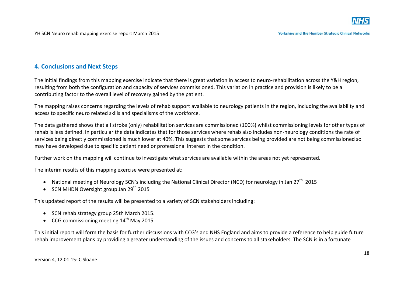# **4. Conclusions and Next Steps**

The initial findings from this mapping exercise indicate that there is great variation in access to neuro‐rehabilitation across the Y&H region, resulting from both the configuration and capacity of services commissioned. This variation in practice and provision is likely to be <sup>a</sup> contributing factor to the overall level of recovery gained by the patient.

The mapping raises concerns regarding the levels of rehab support available to neurology patients in the region, including the availability and access to specific neuro related skills and specialisms of the workforce.

The data gathered shows that all stroke (only) rehabilitation services are commissioned (100%) whilst commissioning levels for other types of rehab is less defined. In particular the data indicates that for those services where rehab also includes non‐neurology conditions the rate of services being directly commissioned is much lower at 40%. This suggests that some services being provided are not being commissioned so may have developed due to specific patient need or professional interest in the condition.

Further work on the mapping will continue to investigate what services are available within the areas not yet represented.

The interim results of this mapping exercise were presented at:

- National meeting of Neurology SCN's including the National Clinical Director (NCD) for neurology in Jan 27<sup>th</sup> 2015
- SCN MHDN Oversight group Jan 29<sup>th</sup> 2015

This updated report of the results will be presented to <sup>a</sup> variety of SCN stakeholders including:

- **SCN rehab strategy group 25th March 2015.**
- CCG commissioning meeting  $14^{\text{th}}$  May 2015

This initial report will form the basis for further discussions with CCG's and NHS England and aims to provide <sup>a</sup> reference to help guide future rehab improvement plans by providing <sup>a</sup> greater understanding of the issues and concerns to all stakeholders. The SCN is in <sup>a</sup> fortunate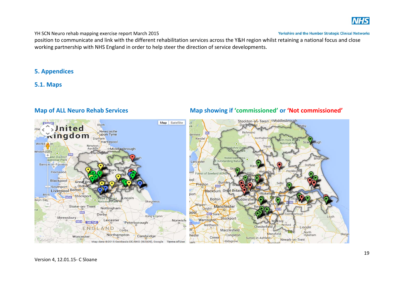

# YH SCN Neuro rehab mapping exercise report March 2015

position to communicate and link with the different rehabilitation services across the Y&H region whilst retaining <sup>a</sup> national focus and close working partnership with NHS England in order to help steer the direction of service developments.

# **5. Appendices**

# **5.1. Maps**

### Stockton-on-Teeso Middlesbrough Map Satellite **EVALUAT** Blyth Darling < > United  $n\bar{k}$ Newcastle<br>
upon Tyne Richmond **Kingdom** dermere Durham Northaller Kenda Hartlepool National Workin<sup>2</sup> on Newton<br>Aycliffe Thirsk shire D oMiddlesbrough Whitehaven  $\bullet$ **Plarlimina** M6 + ake District Nidderdale **Brid National Park** Lancaster **Outstanding Natu** Barro w-in-Furness Driffield  $\bullet$ Fleetwood boo Forest of Bowland AO ool Blackpool Grea **Burnle** Preston o Oldha M65 Southport Liverpool Bolton Blackburn Great Britai port Wakef **Rh**<sub>1</sub> Stockport .incoln **Bolton** udders **Iwyn Bay** ۵ National Park Skegness Wigano Stoke-on-Trent Manchester Nottingham Leigho Derby pool M<sub>62</sub> Sale King's Lynn Louth  $\circ$ Shrewsbury Stockport Warrington Leicester Norwich M54 M6 Toll Peterborough Northwich Retford  $\overline{1}$ Chesterfield Lincoln ENGLAND Corby Macclesfield North<br>Hykeham Mansfield Skegn Northampton Congleton Cambridge hester Worcester  $\overline{a}$ Crewe Sutton-in-Ashfieldo Newark-on-Trent **Kidsarove** Map data @2015 GeoBasis-DE/BKG (@2009), Google Terms/of Use am

# **Map of ALL Neuro Rehab Services Map showing if 'commissioned' or 'Not commissioned'**

Version 4, 12.01.15‐ C Sloane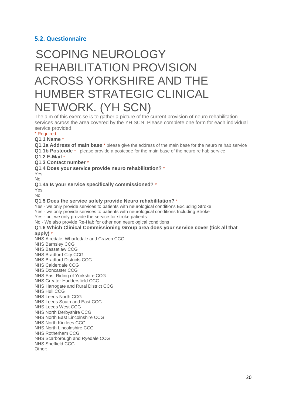# **5.2. Questionnaire**

# SCOPING NEUROLOGY REHABILITATION PROVISION ACROSS YORKSHIRE AND THE HUMBER STRATEGIC CLINICAL NETWORK. (YH SCN)

The aim of this exercise is to gather a picture of the current provision of neuro rehabilitation services across the area covered by the YH SCN. Please complete one form for each individual service provided.

### \* Required

# **Q1.1 Name** \*

**Q1.1a Address of main base** \* please give the address of the main base for the neuro re hab service **Q1.1b Postcode** \* please provide a postcode for the main base of the neuro re hab service

# **Q1.2 E-Mail** \*

**Q1.3 Contact number** \*

**Q1.4 Does your service provide neuro rehabilitation?** \*

Yes

No

**Q1.4a Is your service specifically commissioned?** \*

Yes  $N<sub>0</sub>$ 

# **Q1.5 Does the service solely provide Neuro rehabilitation?** \*

Yes - we only provide services to patients with neurological conditions Excluding Stroke

Yes - we only provide services to patients with neurological conditions Including Stroke

Yes - but we only provide the service for stroke patients

No - We also provide Re-Hab for other non neurological conditions

### **Q1.6 Which Clinical Commissioning Group area does your service cover (tick all that apply)** \*

NHS Airedale, Wharfedale and Craven CCG NHS Barnsley CCG NHS Bassetlaw CCG NHS Bradford City CCG NHS Bradford Districts CCG NHS Calderdale CCG NHS Doncaster CCG NHS East Riding of Yorkshire CCG NHS Greater Huddersfield CCG NHS Harrogate and Rural District CCG NHS Hull CCG NHS Leeds North CCG NHS Leeds South and East CCG NHS Leeds West CCG NHS North Derbyshire CCG NHS North East Lincolnshire CCG NHS North Kirklees CCG NHS North Lincolnshire CCG NHS Rotherham CCG NHS Scarborough and Ryedale CCG NHS Sheffield CCG Other: